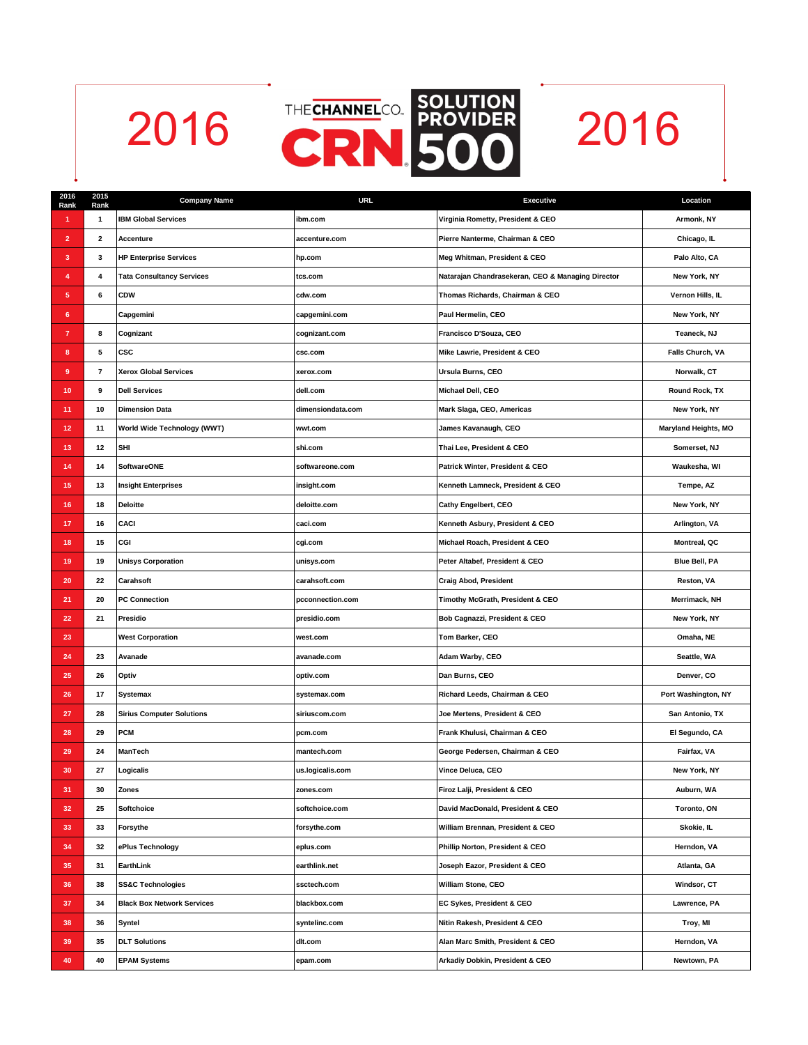



| 2016<br>Rank   | 2015<br>Rank             | <b>Company Name</b>               | <b>URL</b>        | <b>Executive</b>                                  | Location             |
|----------------|--------------------------|-----------------------------------|-------------------|---------------------------------------------------|----------------------|
| 1              | 1                        | <b>IBM Global Services</b>        | ibm.com           | Virginia Rometty, President & CEO                 | Armonk, NY           |
| $\overline{2}$ | $\overline{\mathbf{2}}$  | Accenture                         | accenture.com     | Pierre Nanterme, Chairman & CEO                   | Chicago, IL          |
| 3              | 3                        | <b>HP Enterprise Services</b>     | hp.com            | Meg Whitman, President & CEO                      | Palo Alto, CA        |
| 4              | 4                        | <b>Tata Consultancy Services</b>  | tcs.com           | Natarajan Chandrasekeran, CEO & Managing Director | New York, NY         |
| 5              | 6                        | <b>CDW</b>                        | cdw.com           | Thomas Richards, Chairman & CEO                   | Vernon Hills, IL     |
| 6              |                          | Capgemini                         | capgemini.com     | Paul Hermelin, CEO                                | New York, NY         |
| 7              | 8                        | Cognizant                         | cognizant.com     | Francisco D'Souza, CEO                            | Teaneck, NJ          |
| 8              | 5                        | <b>CSC</b>                        | csc.com           | Mike Lawrie, President & CEO                      | Falls Church, VA     |
| $\pmb{9}$      | $\overline{\phantom{a}}$ | <b>Xerox Global Services</b>      | xerox.com         | Ursula Burns, CEO                                 | Norwalk, CT          |
| 10             | 9                        | <b>Dell Services</b>              | dell.com          | Michael Dell, CEO                                 | Round Rock, TX       |
| 11             | 10                       | <b>Dimension Data</b>             | dimensiondata.com | Mark Slaga, CEO, Americas                         | New York, NY         |
| 12             | 11                       | World Wide Technology (WWT)       | wwt.com           | James Kavanaugh, CEO                              | Maryland Heights, MO |
| 13             | 12                       | <b>SHI</b>                        | shi.com           | Thai Lee, President & CEO                         | Somerset, NJ         |
| 14             | 14                       | <b>SoftwareONE</b>                | softwareone.com   | Patrick Winter, President & CEO                   | Waukesha, WI         |
| 15             | 13                       | <b>Insight Enterprises</b>        | insight.com       | Kenneth Lamneck, President & CEO                  | Tempe, AZ            |
| 16             | 18                       | <b>Deloitte</b>                   | deloitte.com      | Cathy Engelbert, CEO                              | New York, NY         |
| 17             | 16                       | <b>CACI</b>                       | caci.com          | Kenneth Asbury, President & CEO                   | Arlington, VA        |
| 18             | 15                       | CGI                               | cgi.com           | Michael Roach, President & CEO                    | Montreal, QC         |
| 19             | 19                       | <b>Unisys Corporation</b>         | unisys.com        | Peter Altabef, President & CEO                    | Blue Bell, PA        |
| 20             | 22                       | Carahsoft                         | carahsoft.com     | <b>Craig Abod, President</b>                      | Reston, VA           |
| 21             | 20                       | <b>PC Connection</b>              | pcconnection.com  | Timothy McGrath, President & CEO                  | Merrimack, NH        |
| 22             | 21                       | Presidio                          | presidio.com      | Bob Cagnazzi, President & CEO                     | New York, NY         |
| 23             |                          | <b>West Corporation</b>           | west.com          | Tom Barker, CEO                                   | Omaha, NE            |
| 24             | 23                       | Avanade                           | avanade.com       | Adam Warby, CEO                                   | Seattle, WA          |
| 25             | 26                       | Optiv                             | optiv.com         | Dan Burns, CEO                                    | Denver, CO           |
| 26             | 17                       | <b>Systemax</b>                   | systemax.com      | Richard Leeds, Chairman & CEO                     | Port Washington, NY  |
| 27             | 28                       | <b>Sirius Computer Solutions</b>  | siriuscom.com     | Joe Mertens, President & CEO                      | San Antonio, TX      |
| 28             | 29                       | <b>PCM</b>                        | pcm.com           | Frank Khulusi, Chairman & CEO                     | El Segundo, CA       |
| 29             | 24                       | ManTech                           | mantech.com       | George Pedersen, Chairman & CEO                   | Fairfax, VA          |
| 30             | 27                       | Logicalis                         | us.logicalis.com  | Vince Deluca, CEO                                 | New York, NY         |
| 31             | 30                       | Zones                             | zones.com         | Firoz Lalji, President & CEO                      | Auburn, WA           |
| 32             | 25                       | Softchoice                        | softchoice.com    | David MacDonald, President & CEO                  | Toronto, ON          |
| 33             | 33                       | Forsythe                          | forsythe.com      | William Brennan, President & CEO                  | Skokie, IL           |
| 34             | 32                       | ePlus Technology                  | eplus.com         | Phillip Norton, President & CEO                   | Herndon, VA          |
| 35             | 31                       | EarthLink                         | earthlink.net     | Joseph Eazor, President & CEO                     | Atlanta, GA          |
| 36             | 38                       | <b>SS&amp;C Technologies</b>      | ssctech.com       | William Stone, CEO                                | Windsor, CT          |
| 37             | 34                       | <b>Black Box Network Services</b> | blackbox.com      | EC Sykes, President & CEO                         | Lawrence, PA         |
| 38             | 36                       | Syntel                            | syntelinc.com     | Nitin Rakesh, President & CEO                     | Troy, MI             |
| 39             | 35                       | <b>DLT Solutions</b>              | dlt.com           | Alan Marc Smith, President & CEO                  | Herndon, VA          |
| 40             | 40                       | <b>EPAM Systems</b>               | epam.com          | Arkadiy Dobkin, President & CEO                   | Newtown, PA          |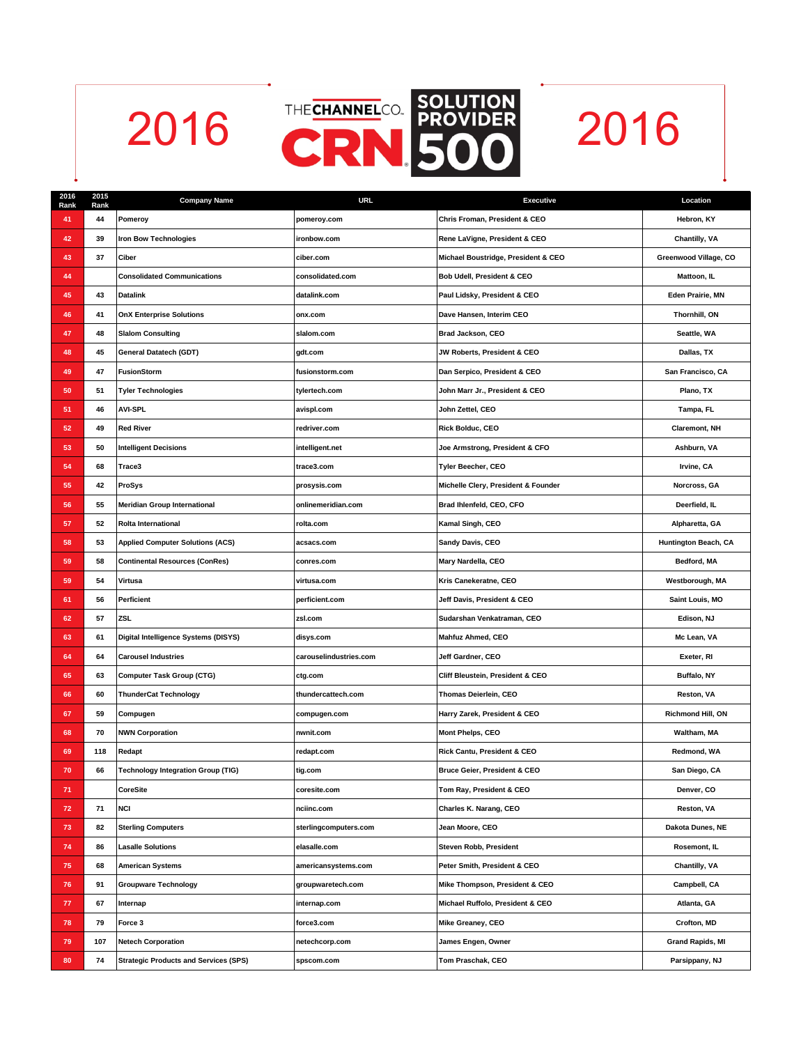



| 2016<br>Rank | 2015<br>Rank | <b>Company Name</b>                          | <b>URL</b>             | <b>Executive</b>                    | Location                |
|--------------|--------------|----------------------------------------------|------------------------|-------------------------------------|-------------------------|
| 41           | 44           | Pomeroy                                      | pomeroy.com            | Chris Froman, President & CEO       | Hebron, KY              |
| 42           | 39           | <b>Iron Bow Technologies</b>                 | ironbow.com            | Rene LaVigne, President & CEO       | Chantilly, VA           |
| 43           | 37           | Ciber                                        | ciber.com              | Michael Boustridge, President & CEO | Greenwood Village, CO   |
| 44           |              | <b>Consolidated Communications</b>           | consolidated.com       | Bob Udell, President & CEO          | Mattoon, IL             |
| 45           | 43           | <b>Datalink</b>                              | datalink.com           | Paul Lidsky, President & CEO        | Eden Prairie, MN        |
| 46           | 41           | <b>OnX Enterprise Solutions</b>              | onx.com                | Dave Hansen, Interim CEO            | Thornhill, ON           |
| 47           | 48           | <b>Slalom Consulting</b>                     | slalom.com             | Brad Jackson, CEO                   | Seattle, WA             |
| 48           | 45           | General Datatech (GDT)                       | gdt.com                | JW Roberts, President & CEO         | Dallas, TX              |
| 49           | 47           | <b>FusionStorm</b>                           | fusionstorm.com        | Dan Serpico, President & CEO        | San Francisco, CA       |
| 50           | 51           | <b>Tyler Technologies</b>                    | tylertech.com          | John Marr Jr., President & CEO      | Plano, TX               |
| 51           | 46           | <b>AVI-SPL</b>                               | avispl.com             | John Zettel, CEO                    | Tampa, FL               |
| 52           | 49           | <b>Red River</b>                             | redriver.com           | Rick Bolduc, CEO                    | <b>Claremont, NH</b>    |
| 53           | 50           | <b>Intelligent Decisions</b>                 | intelligent.net        | Joe Armstrong, President & CFO      | Ashburn, VA             |
| 54           | 68           | Trace3                                       | trace3.com             | Tyler Beecher, CEO                  | Irvine. CA              |
| 55           | 42           | ProSys                                       | prosysis.com           | Michelle Clery, President & Founder | Norcross, GA            |
| 56           | 55           | <b>Meridian Group International</b>          | onlinemeridian.com     | Brad Ihlenfeld, CEO, CFO            | Deerfield, IL           |
| 57           | 52           | Rolta International                          | rolta.com              | Kamal Singh, CEO                    | Alpharetta, GA          |
| 58           | 53           | <b>Applied Computer Solutions (ACS)</b>      | acsacs.com             | <b>Sandy Davis, CEO</b>             | Huntington Beach, CA    |
| 59           | 58           | <b>Continental Resources (ConRes)</b>        | conres.com             | Mary Nardella, CEO                  | Bedford, MA             |
| 59           | 54           | Virtusa                                      | virtusa.com            | Kris Canekeratne, CEO               | Westborough, MA         |
| 61           | 56           | Perficient                                   | perficient.com         | Jeff Davis, President & CEO         | Saint Louis, MO         |
| 62           | 57           | <b>ZSL</b>                                   | zsl.com                | Sudarshan Venkatraman, CEO          | Edison, NJ              |
| 63           | 61           | Digital Intelligence Systems (DISYS)         | disys.com              | Mahfuz Ahmed, CEO                   | Mc Lean, VA             |
| 64           | 64           | <b>Carousel Industries</b>                   | carouselindustries.com | Jeff Gardner, CEO                   | Exeter, RI              |
| 65           | 63           | <b>Computer Task Group (CTG)</b>             | ctg.com                | Cliff Bleustein, President & CEO    | Buffalo, NY             |
| 66           | 60           | <b>ThunderCat Technology</b>                 | thundercattech.com     | Thomas Deierlein, CEO               | Reston, VA              |
| 67           | 59           | Compugen                                     | compugen.com           | Harry Zarek, President & CEO        | Richmond Hill, ON       |
| 68           | 70           | <b>NWN Corporation</b>                       | nwnit.com              | Mont Phelps, CEO                    | Waltham, MA             |
| 69           | 118          | Redapt                                       | redapt.com             | Rick Cantu, President & CEO         | Redmond, WA             |
| 70           | 66           | <b>Technology Integration Group (TIG)</b>    | tig.com                | Bruce Geier, President & CEO        | San Diego, CA           |
| 71           |              | <b>CoreSite</b>                              | coresite.com           | Tom Ray, President & CEO            | Denver, CO              |
| 72           | 71           | <b>NCI</b>                                   | nciinc.com             | Charles K. Narang, CEO              | Reston, VA              |
| 73           | 82           | <b>Sterling Computers</b>                    | sterlingcomputers.com  | Jean Moore, CEO                     | Dakota Dunes, NE        |
| 74           | 86           | <b>Lasalle Solutions</b>                     | elasalle.com           | Steven Robb, President              | Rosemont. IL            |
| 75           | 68           | <b>American Systems</b>                      | americansystems.com    | Peter Smith, President & CEO        | Chantilly, VA           |
| 76           | 91           | <b>Groupware Technology</b>                  | groupwaretech.com      | Mike Thompson, President & CEO      | Campbell, CA            |
| 77           | 67           | Internap                                     | internap.com           | Michael Ruffolo, President & CEO    | Atlanta, GA             |
| 78           | 79           | Force 3                                      | force3.com             | Mike Greaney, CEO                   | Crofton, MD             |
| 79           | 107          | <b>Netech Corporation</b>                    | netechcorp.com         | James Engen, Owner                  | <b>Grand Rapids, MI</b> |
| 80           | 74           | <b>Strategic Products and Services (SPS)</b> | spscom.com             | Tom Praschak, CEO                   | Parsippany, NJ          |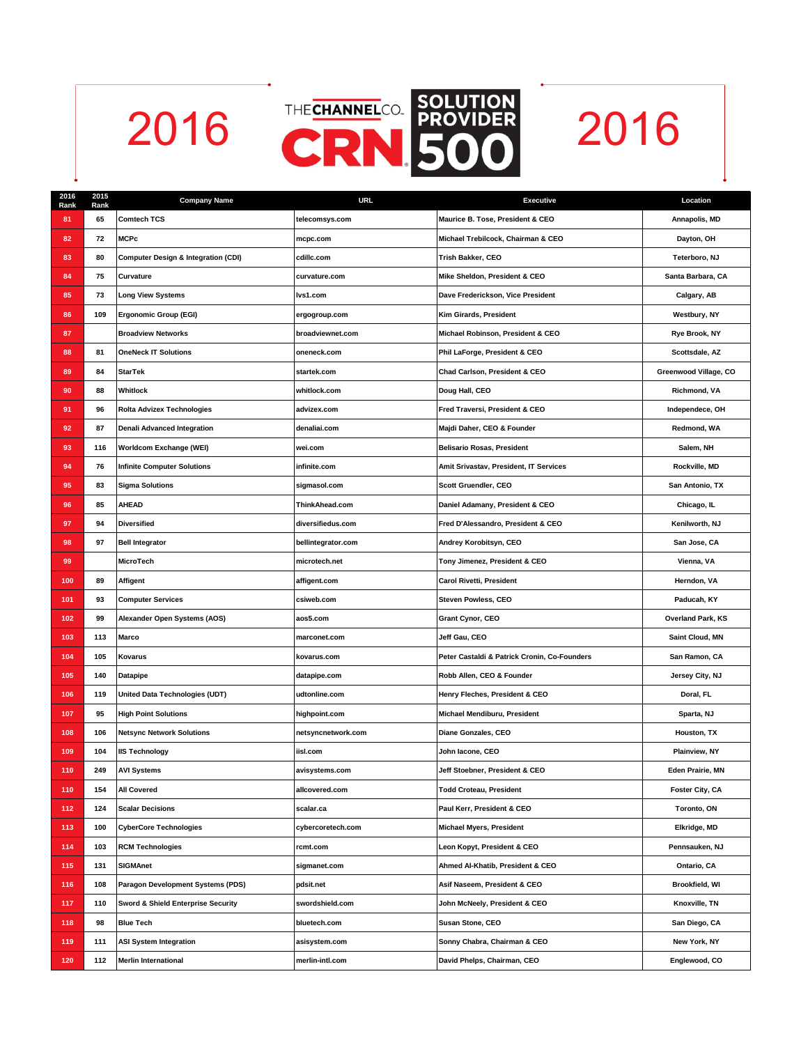



| 2016<br>Rank | 2015<br>Rank | <b>Company Name</b>                            | <b>URL</b>         | <b>Executive</b>                             | Location                |
|--------------|--------------|------------------------------------------------|--------------------|----------------------------------------------|-------------------------|
| 81           | 65           | <b>Comtech TCS</b>                             | telecomsys.com     | Maurice B. Tose, President & CEO             | Annapolis, MD           |
| 82           | 72           | <b>MCPc</b>                                    | mcpc.com           | Michael Trebilcock, Chairman & CEO           | Dayton, OH              |
| 83           | 80           | <b>Computer Design &amp; Integration (CDI)</b> | cdillc.com         | Trish Bakker, CEO                            | Teterboro, NJ           |
| 84           | 75           | Curvature                                      | curvature.com      | Mike Sheldon, President & CEO                | Santa Barbara, CA       |
| 85           | 73           | <b>Long View Systems</b>                       | lvs1.com           | Dave Frederickson, Vice President            | Calgary, AB             |
| 86           | 109          | <b>Ergonomic Group (EGI)</b>                   | ergogroup.com      | Kim Girards, President                       | Westbury, NY            |
| 87           |              | <b>Broadview Networks</b>                      | broadviewnet.com   | Michael Robinson, President & CEO            | Rye Brook, NY           |
| 88           | 81           | <b>OneNeck IT Solutions</b>                    | oneneck.com        | Phil LaForge, President & CEO                | Scottsdale, AZ          |
| 89           | 84           | <b>StarTek</b>                                 | startek.com        | Chad Carlson, President & CEO                | Greenwood Village, CO   |
| 90           | 88           | Whitlock                                       | whitlock.com       | Doug Hall, CEO                               | Richmond, VA            |
| 91           | 96           | <b>Rolta Advizex Technologies</b>              | advizex.com        | Fred Traversi, President & CEO               | Independece, OH         |
| 92           | 87           | Denali Advanced Integration                    | denaliai.com       | Majdi Daher, CEO & Founder                   | Redmond, WA             |
| 93           | 116          | Worldcom Exchange (WEI)                        | wei.com            | <b>Belisario Rosas, President</b>            | Salem, NH               |
| 94           | 76           | <b>Infinite Computer Solutions</b>             | infinite.com       | Amit Srivastav, President, IT Services       | Rockville, MD           |
| 95           | 83           | <b>Sigma Solutions</b>                         | sigmasol.com       | Scott Gruendler, CEO                         | San Antonio, TX         |
| 96           | 85           | <b>AHEAD</b>                                   | ThinkAhead.com     | Daniel Adamany, President & CEO              | Chicago, IL             |
| 97           | 94           | <b>Diversified</b>                             | diversifiedus.com  | Fred D'Alessandro, President & CEO           | Kenilworth, NJ          |
| 98           | 97           | <b>Bell Integrator</b>                         | bellintegrator.com | Andrey Korobitsyn, CEO                       | San Jose, CA            |
| 99           |              | MicroTech                                      | microtech.net      | Tony Jimenez, President & CEO                | Vienna, VA              |
| 100          | 89           | Affigent                                       | affigent.com       | Carol Rivetti, President                     | Herndon, VA             |
| 101          | 93           | <b>Computer Services</b>                       | csiweb.com         | Steven Powless, CEO                          | Paducah, KY             |
| 102          | 99           | Alexander Open Systems (AOS)                   | aos5.com           | Grant Cynor, CEO                             | Overland Park, KS       |
| 103          | 113          | Marco                                          | marconet.com       | Jeff Gau, CEO                                | Saint Cloud, MN         |
| 104          | 105          | Kovarus                                        | kovarus.com        | Peter Castaldi & Patrick Cronin, Co-Founders | San Ramon, CA           |
| 105          | 140          | <b>Datapipe</b>                                | datapipe.com       | Robb Allen, CEO & Founder                    | Jersey City, NJ         |
| 106          | 119          | United Data Technologies (UDT)                 | udtonline.com      | Henry Fleches, President & CEO               | Doral, FL               |
| 107          | 95           | <b>High Point Solutions</b>                    | highpoint.com      | Michael Mendiburu, President                 | Sparta, NJ              |
| 108          | 106          | <b>Netsync Network Solutions</b>               | netsyncnetwork.com | Diane Gonzales, CEO                          | Houston, TX             |
| 109          | 104          | <b>IIS Technology</b>                          | iisl.com           | John lacone, CEO                             | Plainview, NY           |
| 110          | 249          | <b>AVI Systems</b>                             | avisystems.com     | Jeff Stoebner, President & CEO               | <b>Eden Prairie, MN</b> |
| 110          | 154          | All Covered                                    | allcovered.com     | Todd Croteau, President                      | Foster City, CA         |
| 112          | 124          | <b>Scalar Decisions</b>                        | scalar.ca          | Paul Kerr, President & CEO                   | Toronto, ON             |
| 113          | 100          | <b>CyberCore Technologies</b>                  | cybercoretech.com  | Michael Myers, President                     | Elkridge, MD            |
| 114          | 103          | <b>RCM Technologies</b>                        | rcmt.com           | Leon Kopyt, President & CEO                  | Pennsauken, NJ          |
| 115          | 131          | <b>SIGMAnet</b>                                | sigmanet.com       | Ahmed Al-Khatib, President & CEO             | Ontario, CA             |
| 116          | 108          | Paragon Development Systems (PDS)              | pdsit.net          | Asif Naseem, President & CEO                 | Brookfield, WI          |
| 117          | 110          | Sword & Shield Enterprise Security             | swordshield.com    | John McNeely, President & CEO                | Knoxville, TN           |
| 118          | 98           | <b>Blue Tech</b>                               | bluetech.com       | Susan Stone, CEO                             | San Diego, CA           |
| 119          | 111          | <b>ASI System Integration</b>                  | asisystem.com      | Sonny Chabra, Chairman & CEO                 | New York, NY            |
| 120          | 112          | <b>Merlin International</b>                    | merlin-intl.com    | David Phelps, Chairman, CEO                  | Englewood, CO           |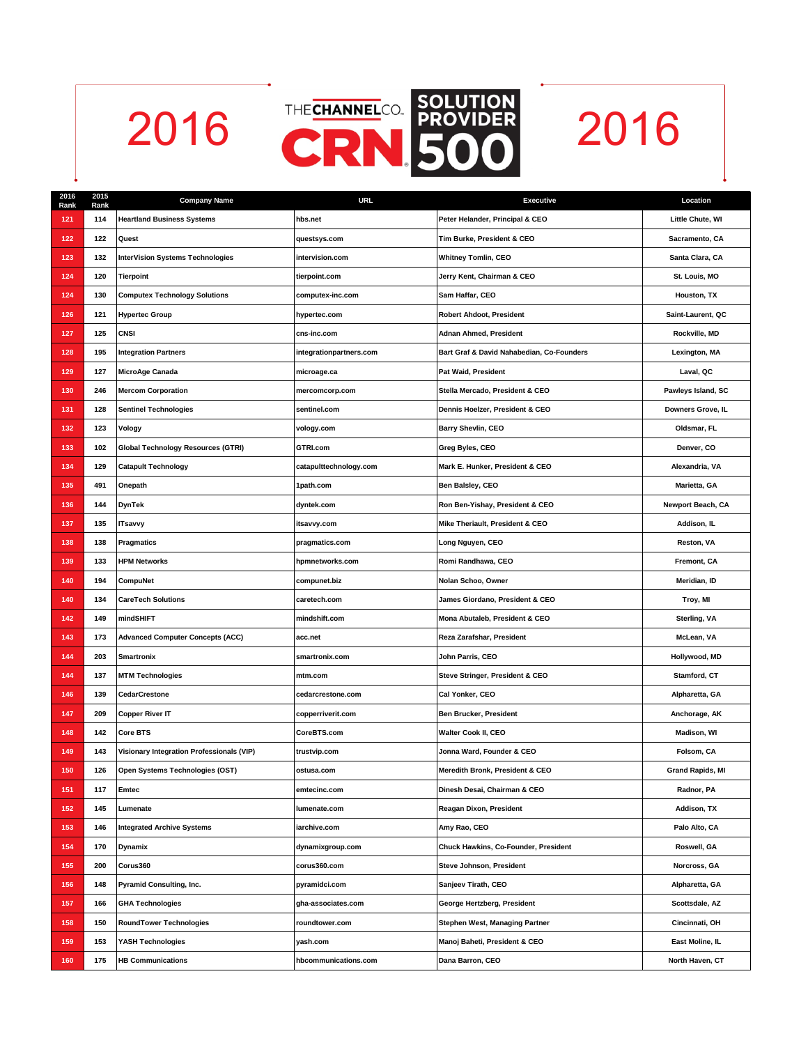



| 2016<br>Rank | 2015<br>Rank | <b>Company Name</b>                              | <b>URL</b>              | <b>Executive</b>                          | Location                |
|--------------|--------------|--------------------------------------------------|-------------------------|-------------------------------------------|-------------------------|
| 121          | 114          | <b>Heartland Business Systems</b>                | hbs.net                 | Peter Helander, Principal & CEO           | Little Chute, WI        |
| 122          | 122          | Quest                                            | questsys.com            | Tim Burke, President & CEO                | Sacramento, CA          |
| 123          | 132          | <b>InterVision Systems Technologies</b>          | intervision.com         | <b>Whitney Tomlin, CEO</b>                | Santa Clara, CA         |
| 124          | 120          | <b>Tierpoint</b>                                 | tierpoint.com           | Jerry Kent, Chairman & CEO                | St. Louis, MO           |
| 124          | 130          | <b>Computex Technology Solutions</b>             | computex-inc.com        | Sam Haffar, CEO                           | Houston, TX             |
| 126          | 121          | <b>Hypertec Group</b>                            | hypertec.com            | Robert Ahdoot, President                  | Saint-Laurent, QC       |
| 127          | 125          | CNSI                                             | cns-inc.com             | Adnan Ahmed, President                    | Rockville, MD           |
| 128          | 195          | <b>Integration Partners</b>                      | integrationpartners.com | Bart Graf & David Nahabedian, Co-Founders | Lexington, MA           |
| 129          | 127          | MicroAge Canada                                  | microage.ca             | Pat Waid, President                       | Laval, QC               |
| 130          | 246          | <b>Mercom Corporation</b>                        | mercomcorp.com          | Stella Mercado, President & CEO           | Pawleys Island, SC      |
| 131          | 128          | <b>Sentinel Technologies</b>                     | sentinel.com            | Dennis Hoelzer, President & CEO           | Downers Grove, IL       |
| 132          | 123          | Vology                                           | vology.com              | <b>Barry Shevlin, CEO</b>                 | Oldsmar, FL             |
| 133          | 102          | Global Technology Resources (GTRI)               | GTRI.com                | Greg Byles, CEO                           | Denver, CO              |
| 134          | 129          | <b>Catapult Technology</b>                       | catapulttechnology.com  | Mark E. Hunker, President & CEO           | Alexandria, VA          |
| 135          | 491          | Onepath                                          | 1path.com               | Ben Balsley, CEO                          | Marietta, GA            |
| 136          | 144          | DynTek                                           | dyntek.com              | Ron Ben-Yishay, President & CEO           | Newport Beach, CA       |
| 137          | 135          | <b>ITsavvy</b>                                   | itsavvy.com             | Mike Theriault, President & CEO           | Addison, IL             |
| 138          | 138          | Pragmatics                                       | pragmatics.com          | Long Nguyen, CEO                          | Reston, VA              |
| 139          | 133          | <b>HPM Networks</b>                              | hpmnetworks.com         | Romi Randhawa, CEO                        | Fremont, CA             |
| 140          | 194          | CompuNet                                         | compunet.biz            | Nolan Schoo, Owner                        | Meridian, ID            |
| 140          | 134          | <b>CareTech Solutions</b>                        | caretech.com            | James Giordano, President & CEO           | Troy, MI                |
| 142          | 149          | mindSHIFT                                        | mindshift.com           | Mona Abutaleb, President & CEO            | Sterling, VA            |
| 143          | 173          | <b>Advanced Computer Concepts (ACC)</b>          | acc.net                 | Reza Zarafshar, President                 | McLean, VA              |
| 144          | 203          | <b>Smartronix</b>                                | smartronix.com          | John Parris, CEO                          | Hollywood, MD           |
| 144          | 137          | <b>MTM Technologies</b>                          | mtm.com                 | Steve Stringer, President & CEO           | Stamford, CT            |
| 146          | 139          | <b>CedarCrestone</b>                             | cedarcrestone.com       | Cal Yonker, CEO                           | Alpharetta, GA          |
| 147          | 209          | <b>Copper River IT</b>                           | copperriverit.com       | <b>Ben Brucker, President</b>             | Anchorage, AK           |
| 148          | 142          | <b>Core BTS</b>                                  | CoreBTS.com             | Walter Cook II, CEO                       | <b>Madison, WI</b>      |
| 149          | 143          | <b>Visionary Integration Professionals (VIP)</b> | trustvip.com            | Jonna Ward, Founder & CEO                 | Folsom, CA              |
| 150          | 126          | Open Systems Technologies (OST)                  | ostusa.com              | Meredith Bronk, President & CEO           | <b>Grand Rapids, MI</b> |
| 151          | 117          | Emtec                                            | emtecinc.com            | Dinesh Desai, Chairman & CEO              | Radnor, PA              |
| 152          | 145          | Lumenate                                         | lumenate.com            | Reagan Dixon, President                   | Addison, TX             |
| 153          | 146          | <b>Integrated Archive Systems</b>                | iarchive.com            | Amy Rao, CEO                              | Palo Alto, CA           |
| 154          | 170          | <b>Dynamix</b>                                   | dynamixgroup.com        | Chuck Hawkins, Co-Founder, President      | Roswell, GA             |
| 155          | 200          | Corus360                                         | corus360.com            | Steve Johnson, President                  | Norcross, GA            |
| 156          | 148          | <b>Pyramid Consulting, Inc.</b>                  | pyramidci.com           | Sanjeev Tirath, CEO                       | Alpharetta, GA          |
| 157          | 166          | <b>GHA Technologies</b>                          | gha-associates.com      | George Hertzberg, President               | Scottsdale, AZ          |
| 158          | 150          | <b>RoundTower Technologies</b>                   | roundtower.com          | Stephen West, Managing Partner            | Cincinnati, OH          |
| 159          | 153          | YASH Technologies                                | yash.com                | Manoj Baheti, President & CEO             | East Moline, IL         |
| 160          | 175          | <b>HB Communications</b>                         | hbcommunications.com    | Dana Barron, CEO                          | North Haven, CT         |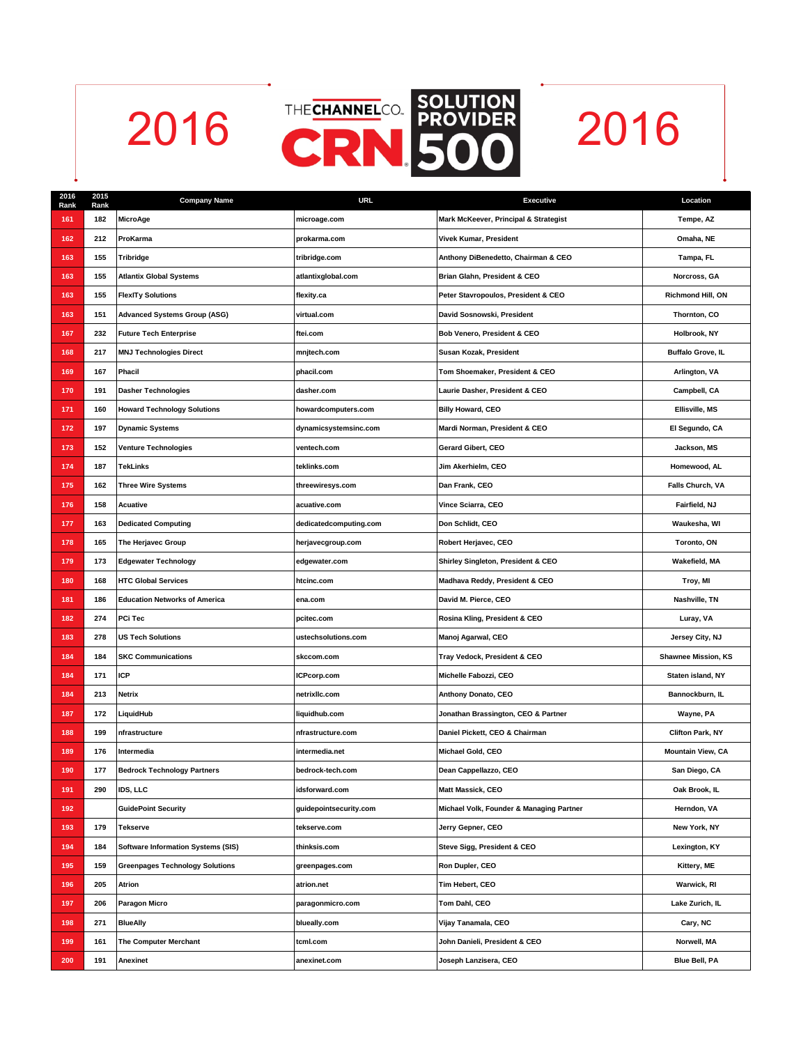



| 2016<br>Rank | 2015<br>Rank | <b>Company Name</b>                       | <b>URL</b>             | <b>Executive</b>                         | Location                   |
|--------------|--------------|-------------------------------------------|------------------------|------------------------------------------|----------------------------|
| 161          | 182          | MicroAge                                  | microage.com           | Mark McKeever, Principal & Strategist    | Tempe, AZ                  |
| 162          | 212          | ProKarma                                  | prokarma.com           | Vivek Kumar, President                   | Omaha, NE                  |
| 163          | 155          | <b>Tribridge</b>                          | tribridge.com          | Anthony DiBenedetto, Chairman & CEO      | Tampa, FL                  |
| 163          | 155          | <b>Atlantix Global Systems</b>            | atlantixglobal.com     | Brian Glahn, President & CEO             | Norcross, GA               |
| 163          | 155          | <b>FlexITy Solutions</b>                  | flexity.ca             | Peter Stavropoulos, President & CEO      | Richmond Hill, ON          |
| 163          | 151          | <b>Advanced Systems Group (ASG)</b>       | virtual.com            | David Sosnowski, President               | Thornton, CO               |
| 167          | 232          | <b>Future Tech Enterprise</b>             | ftei.com               | Bob Venero, President & CEO              | Holbrook, NY               |
| 168          | 217          | <b>MNJ Technologies Direct</b>            | mnjtech.com            | Susan Kozak, President                   | <b>Buffalo Grove, IL</b>   |
| 169          | 167          | Phacil                                    | phacil.com             | Tom Shoemaker, President & CEO           | Arlington, VA              |
| 170          | 191          | <b>Dasher Technologies</b>                | dasher.com             | Laurie Dasher, President & CEO           | Campbell, CA               |
| 171          | 160          | <b>Howard Technology Solutions</b>        | howardcomputers.com    | <b>Billy Howard, CEO</b>                 | Ellisville, MS             |
| 172          | 197          | <b>Dynamic Systems</b>                    | dynamicsystemsinc.com  | Mardi Norman, President & CEO            | El Segundo, CA             |
| 173          | 152          | <b>Venture Technologies</b>               | ventech.com            | Gerard Gibert, CEO                       | Jackson, MS                |
| 174          | 187          | TekLinks                                  | teklinks.com           | Jim Akerhielm, CEO                       | Homewood, AL               |
| 175          | 162          | <b>Three Wire Systems</b>                 | threewiresys.com       | Dan Frank, CEO                           | Falls Church, VA           |
| 176          | 158          | Acuative                                  | acuative.com           | Vince Sciarra, CEO                       | Fairfield, NJ              |
| 177          | 163          | <b>Dedicated Computing</b>                | dedicatedcomputing.com | Don Schlidt, CEO                         | Waukesha, WI               |
| 178          | 165          | The Herjavec Group                        | herjavecgroup.com      | Robert Herjavec, CEO                     | Toronto, ON                |
| 179          | 173          | <b>Edgewater Technology</b>               | edgewater.com          | Shirley Singleton, President & CEO       | Wakefield, MA              |
| 180          | 168          | <b>HTC Global Services</b>                | htcinc.com             | Madhava Reddy, President & CEO           | Troy, MI                   |
| 181          | 186          | <b>Education Networks of America</b>      | ena.com                | David M. Pierce, CEO                     | Nashville, TN              |
| 182          | 274          | PCi Tec                                   | pcitec.com             | Rosina Kling, President & CEO            | Luray, VA                  |
| 183          | 278          | <b>US Tech Solutions</b>                  | ustechsolutions.com    | Manoj Agarwal, CEO                       | Jersey City, NJ            |
| 184          | 184          | <b>SKC Communications</b>                 | skccom.com             | Tray Vedock, President & CEO             | <b>Shawnee Mission, KS</b> |
| 184          | 171          | <b>ICP</b>                                | ICPcorp.com            | Michelle Fabozzi, CEO                    | Staten island, NY          |
| 184          | 213          | Netrix                                    | netrixllc.com          | Anthony Donato, CEO                      | Bannockburn, IL            |
| 187          | 172          | LiquidHub                                 | liquidhub.com          | Jonathan Brassington, CEO & Partner      | Wayne, PA                  |
| 188          | 199          | nfrastructure                             | nfrastructure.com      | Daniel Pickett, CEO & Chairman           | <b>Clifton Park, NY</b>    |
| 189          | 176          | Intermedia                                | intermedia.net         | Michael Gold, CEO                        | <b>Mountain View, CA</b>   |
| 190          | 177          | <b>Bedrock Technology Partners</b>        | bedrock-tech.com       | Dean Cappellazzo, CEO                    | San Diego, CA              |
| 191          | 290          | IDS, LLC                                  | idsforward.com         | Matt Massick, CEO                        | Oak Brook, IL              |
| 192          |              | <b>GuidePoint Security</b>                | guidepointsecurity.com | Michael Volk, Founder & Managing Partner | Herndon, VA                |
| 193          | 179          | Tekserve                                  | tekserve.com           | Jerry Gepner, CEO                        | New York, NY               |
| 194          | 184          | <b>Software Information Systems (SIS)</b> | thinksis.com           | Steve Sigg, President & CEO              | Lexington, KY              |
| 195          | 159          | <b>Greenpages Technology Solutions</b>    | greenpages.com         | Ron Dupler, CEO                          | Kittery, ME                |
| 196          | 205          | Atrion                                    | atrion.net             | Tim Hebert, CEO                          | Warwick, RI                |
| 197          | 206          | <b>Paragon Micro</b>                      | paragonmicro.com       | Tom Dahl, CEO                            | Lake Zurich, IL            |
| 198          | 271          | <b>BlueAlly</b>                           | blueally.com           | Vijay Tanamala, CEO                      | Cary, NC                   |
| 199          | 161          | The Computer Merchant                     | tcml.com               | John Danieli, President & CEO            | Norwell, MA                |
| 200          | 191          | Anexinet                                  | anexinet.com           | Joseph Lanzisera, CEO                    | Blue Bell, PA              |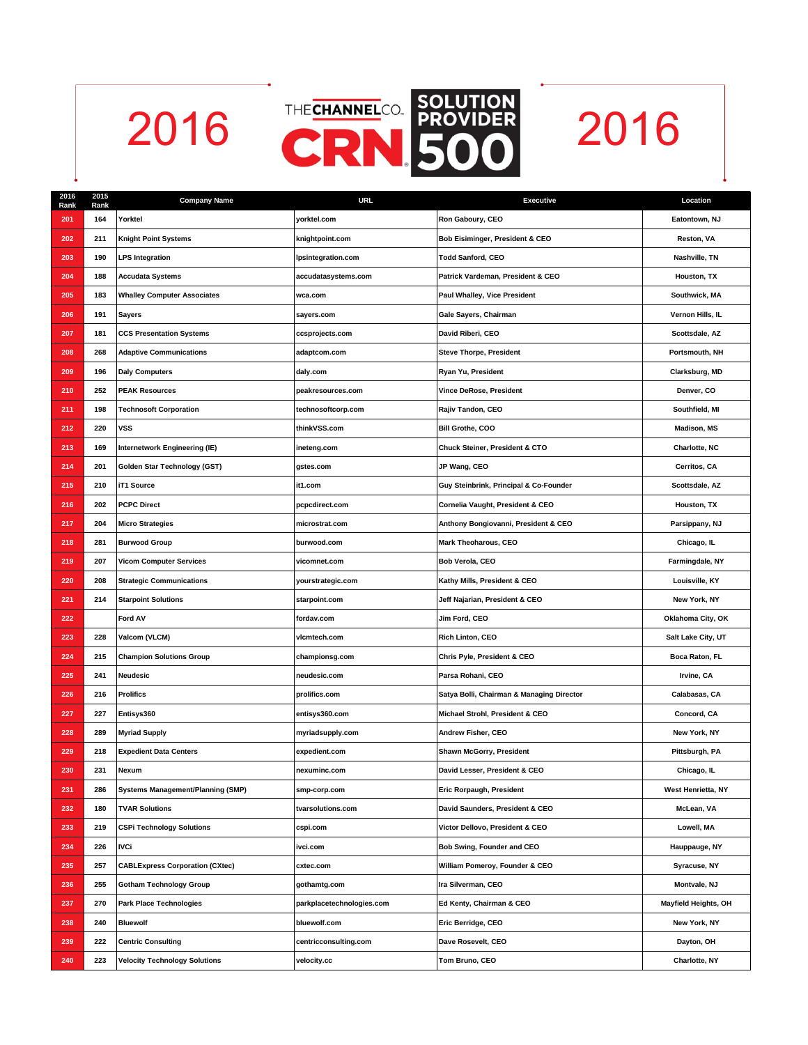



| 2016<br>Rank | 2015<br>Rank | <b>Company Name</b>                      | <b>URL</b>                | <b>Executive</b>                          | Location             |
|--------------|--------------|------------------------------------------|---------------------------|-------------------------------------------|----------------------|
| 201          | 164          | Yorktel                                  | yorktel.com               | Ron Gaboury, CEO                          | Eatontown, NJ        |
| 202          | 211          | Knight Point Systems                     | knightpoint.com           | Bob Eisiminger, President & CEO           | Reston, VA           |
| 203          | 190          | <b>LPS Integration</b>                   | Ipsintegration.com        | <b>Todd Sanford, CEO</b>                  | Nashville, TN        |
| 204          | 188          | <b>Accudata Systems</b>                  | accudatasystems.com       | Patrick Vardeman, President & CEO         | Houston, TX          |
| 205          | 183          | <b>Whalley Computer Associates</b>       | wca.com                   | Paul Whalley, Vice President              | Southwick, MA        |
| 206          | 191          | <b>Sayers</b>                            | sayers.com                | Gale Sayers, Chairman                     | Vernon Hills, IL     |
| 207          | 181          | <b>CCS Presentation Systems</b>          | ccsprojects.com           | David Riberi, CEO                         | Scottsdale, AZ       |
| 208          | 268          | <b>Adaptive Communications</b>           | adaptcom.com              | <b>Steve Thorpe, President</b>            | Portsmouth, NH       |
| 209          | 196          | <b>Daly Computers</b>                    | daly.com                  | Ryan Yu, President                        | Clarksburg, MD       |
| 210          | 252          | <b>PEAK Resources</b>                    | peakresources.com         | Vince DeRose, President                   | Denver, CO           |
| 211          | 198          | <b>Technosoft Corporation</b>            | technosoftcorp.com        | Rajiv Tandon, CEO                         | Southfield, MI       |
| 212          | 220          | <b>VSS</b>                               | thinkVSS.com              | Bill Grothe, COO                          | <b>Madison, MS</b>   |
| 213          | 169          | Internetwork Engineering (IE)            | ineteng.com               | Chuck Steiner, President & CTO            | Charlotte, NC        |
| 214          | 201          | Golden Star Technology (GST)             | gstes.com                 | JP Wang, CEO                              | Cerritos, CA         |
| 215          | 210          | iT1 Source                               | it1.com                   | Guy Steinbrink, Principal & Co-Founder    | Scottsdale, AZ       |
| 216          | 202          | <b>PCPC Direct</b>                       | pcpcdirect.com            | Cornelia Vaught, President & CEO          | Houston, TX          |
| 217          | 204          | <b>Micro Strategies</b>                  | microstrat.com            | Anthony Bongiovanni, President & CEO      | Parsippany, NJ       |
| 218          | 281          | <b>Burwood Group</b>                     | burwood.com               | Mark Theoharous, CEO                      | Chicago, IL          |
| 219          | 207          | <b>Vicom Computer Services</b>           | vicomnet.com              | Bob Verola, CEO                           | Farmingdale, NY      |
| 220          | 208          | <b>Strategic Communications</b>          | yourstrategic.com         | Kathy Mills, President & CEO              | Louisville, KY       |
| 221          | 214          | <b>Starpoint Solutions</b>               | starpoint.com             | Jeff Najarian, President & CEO            | New York, NY         |
| 222          |              | Ford AV                                  | fordav.com                | Jim Ford, CEO                             | Oklahoma City, OK    |
| 223          | 228          | Valcom (VLCM)                            | vicmtech.com              | Rich Linton, CEO                          | Salt Lake City, UT   |
| 224          | 215          | <b>Champion Solutions Group</b>          | championsg.com            | Chris Pyle, President & CEO               | Boca Raton, FL       |
| 225          | 241          | Neudesic                                 | neudesic.com              | Parsa Rohani, CEO                         | Irvine, CA           |
| 226          | 216          | Prolifics                                | prolifics.com             | Satya Bolli, Chairman & Managing Director | Calabasas, CA        |
| 227          | 227          | Entisys360                               | entisys360.com            | Michael Strohl, President & CEO           | Concord, CA          |
| 228          | 289          | <b>Myriad Supply</b>                     | myriadsupply.com          | Andrew Fisher, CEO                        | New York, NY         |
| 229          | 218          | <b>Expedient Data Centers</b>            | expedient.com             | Shawn McGorry, President                  | Pittsburgh, PA       |
| 230          | 231          | Nexum                                    | nexuminc.com              | David Lesser, President & CEO             | Chicago, IL          |
| 231          | 286          | <b>Systems Management/Planning (SMP)</b> | smp-corp.com              | Eric Rorpaugh, President                  | West Henrietta, NY   |
| 232          | 180          | <b>TVAR Solutions</b>                    | tvarsolutions.com         | David Saunders, President & CEO           | McLean, VA           |
| 233          | 219          | <b>CSPi Technology Solutions</b>         | cspi.com                  | Victor Dellovo, President & CEO           | Lowell, MA           |
| 234          | 226          | <b>IVCi</b>                              | ivci.com                  | Bob Swing, Founder and CEO                | Hauppauge, NY        |
| 235          | 257          | <b>CABLExpress Corporation (CXtec)</b>   | cxtec.com                 | William Pomeroy, Founder & CEO            | Syracuse, NY         |
| 236          | 255          | <b>Gotham Technology Group</b>           | gothamtg.com              | Ira Silverman, CEO                        | Montvale, NJ         |
| 237          | 270          | <b>Park Place Technologies</b>           | parkplacetechnologies.com | Ed Kenty, Chairman & CEO                  | Mayfield Heights, OH |
| 238          | 240          | <b>Bluewolf</b>                          | bluewolf.com              | Eric Berridge, CEO                        | New York, NY         |
| 239          | 222          | <b>Centric Consulting</b>                | centricconsulting.com     | Dave Rosevelt, CEO                        | Dayton, OH           |
| 240          | 223          | <b>Velocity Technology Solutions</b>     | velocity.cc               | Tom Bruno, CEO                            | Charlotte, NY        |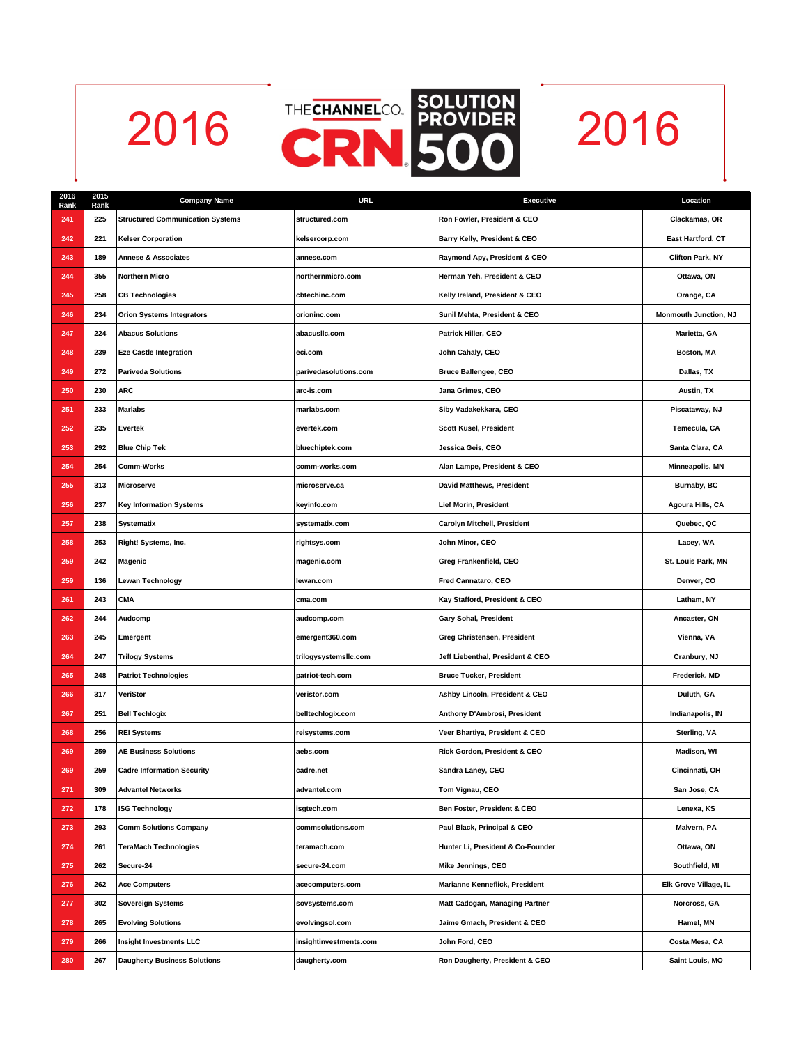



| 2016<br>Rank | 2015<br>Rank | <b>Company Name</b>                     | <b>URL</b>             | <b>Executive</b>                  | Location                |
|--------------|--------------|-----------------------------------------|------------------------|-----------------------------------|-------------------------|
| 241          | 225          | <b>Structured Communication Systems</b> | structured.com         | Ron Fowler, President & CEO       | Clackamas, OR           |
| 242          | 221          | <b>Kelser Corporation</b>               | kelsercorp.com         | Barry Kelly, President & CEO      | East Hartford, CT       |
| 243          | 189          | <b>Annese &amp; Associates</b>          | annese.com             | Raymond Apy, President & CEO      | <b>Clifton Park, NY</b> |
| 244          | 355          | <b>Northern Micro</b>                   | northernmicro.com      | Herman Yeh, President & CEO       | Ottawa, ON              |
| 245          | 258          | <b>CB Technologies</b>                  | cbtechinc.com          | Kelly Ireland, President & CEO    | Orange, CA              |
| 246          | 234          | <b>Orion Systems Integrators</b>        | orioninc.com           | Sunil Mehta, President & CEO      | Monmouth Junction, NJ   |
| 247          | 224          | <b>Abacus Solutions</b>                 | abacuslic.com          | Patrick Hiller, CEO               | Marietta, GA            |
| 248          | 239          | <b>Eze Castle Integration</b>           | eci.com                | John Cahaly, CEO                  | Boston, MA              |
| 249          | 272          | <b>Pariveda Solutions</b>               | parivedasolutions.com  | Bruce Ballengee, CEO              | Dallas, TX              |
| 250          | 230          | <b>ARC</b>                              | arc-is.com             | Jana Grimes, CEO                  | Austin, TX              |
| 251          | 233          | <b>Marlabs</b>                          | marlabs.com            | Siby Vadakekkara, CEO             | Piscataway, NJ          |
| 252          | 235          | <b>Evertek</b>                          | evertek.com            | <b>Scott Kusel, President</b>     | Temecula, CA            |
| 253          | 292          | <b>Blue Chip Tek</b>                    | bluechiptek.com        | Jessica Geis, CEO                 | Santa Clara, CA         |
| 254          | 254          | <b>Comm-Works</b>                       | comm-works.com         | Alan Lampe, President & CEO       | Minneapolis, MN         |
| 255          | 313          | Microserve                              | microserve.ca          | David Matthews, President         | Burnaby, BC             |
| 256          | 237          | <b>Key Information Systems</b>          | keyinfo.com            | Lief Morin, President             | Agoura Hills, CA        |
| 257          | 238          | <b>Systematix</b>                       | systematix.com         | Carolyn Mitchell, President       | Quebec, QC              |
| 258          | 253          | Right! Systems, Inc.                    | rightsys.com           | John Minor, CEO                   | Lacey, WA               |
| 259          | 242          | Magenic                                 | magenic.com            | Greg Frankenfield, CEO            | St. Louis Park, MN      |
| 259          | 136          | <b>Lewan Technology</b>                 | lewan.com              | Fred Cannataro, CEO               | Denver, CO              |
| 261          | 243          | <b>CMA</b>                              | cma.com                | Kay Stafford, President & CEO     | Latham, NY              |
| 262          | 244          | Audcomp                                 | audcomp.com            | Gary Sohal, President             | Ancaster, ON            |
| 263          | 245          | Emergent                                | emergent360.com        | Greg Christensen, President       | Vienna, VA              |
| 264          | 247          | <b>Trilogy Systems</b>                  | trilogysystemsllc.com  | Jeff Liebenthal, President & CEO  | Cranbury, NJ            |
| 265          | 248          | <b>Patriot Technologies</b>             | patriot-tech.com       | <b>Bruce Tucker, President</b>    | Frederick, MD           |
| 266          | 317          | VeriStor                                | veristor.com           | Ashby Lincoln, President & CEO    | Duluth, GA              |
| 267          | 251          | <b>Bell Techlogix</b>                   | belltechlogix.com      | Anthony D'Ambrosi, President      | Indianapolis, IN        |
| 268          | 256          | <b>REI Systems</b>                      | reisystems.com         | Veer Bhartiya, President & CEO    | Sterling, VA            |
| 269          | 259          | <b>AE Business Solutions</b>            | aebs.com               | Rick Gordon, President & CEO      | Madison, WI             |
| 269          | 259          | <b>Cadre Information Security</b>       | cadre.net              | Sandra Laney, CEO                 | Cincinnati, OH          |
| 271          | 309          | <b>Advantel Networks</b>                | advantel.com           | Tom Vignau, CEO                   | San Jose, CA            |
| 272          | 178          | <b>ISG Technology</b>                   | isgtech.com            | Ben Foster, President & CEO       | Lenexa, KS              |
| 273          | 293          | <b>Comm Solutions Company</b>           | commsolutions.com      | Paul Black, Principal & CEO       | Malvern, PA             |
| 274          | 261          | <b>TeraMach Technologies</b>            | teramach.com           | Hunter Li, President & Co-Founder | Ottawa, ON              |
| 275          | 262          | Secure-24                               | secure-24.com          | Mike Jennings, CEO                | Southfield, MI          |
| 276          | 262          | <b>Ace Computers</b>                    | acecomputers.com       | Marianne Kenneflick, President    | Elk Grove Village, IL   |
| 277          | 302          | <b>Sovereign Systems</b>                | sovsystems.com         | Matt Cadogan, Managing Partner    | Norcross, GA            |
| 278          | 265          | <b>Evolving Solutions</b>               | evolvingsol.com        | Jaime Gmach, President & CEO      | Hamel, MN               |
| 279          | 266          | <b>Insight Investments LLC</b>          | insightinvestments.com | John Ford, CEO                    | Costa Mesa, CA          |
| 280          | 267          | <b>Daugherty Business Solutions</b>     | daugherty.com          | Ron Daugherty, President & CEO    | Saint Louis, MO         |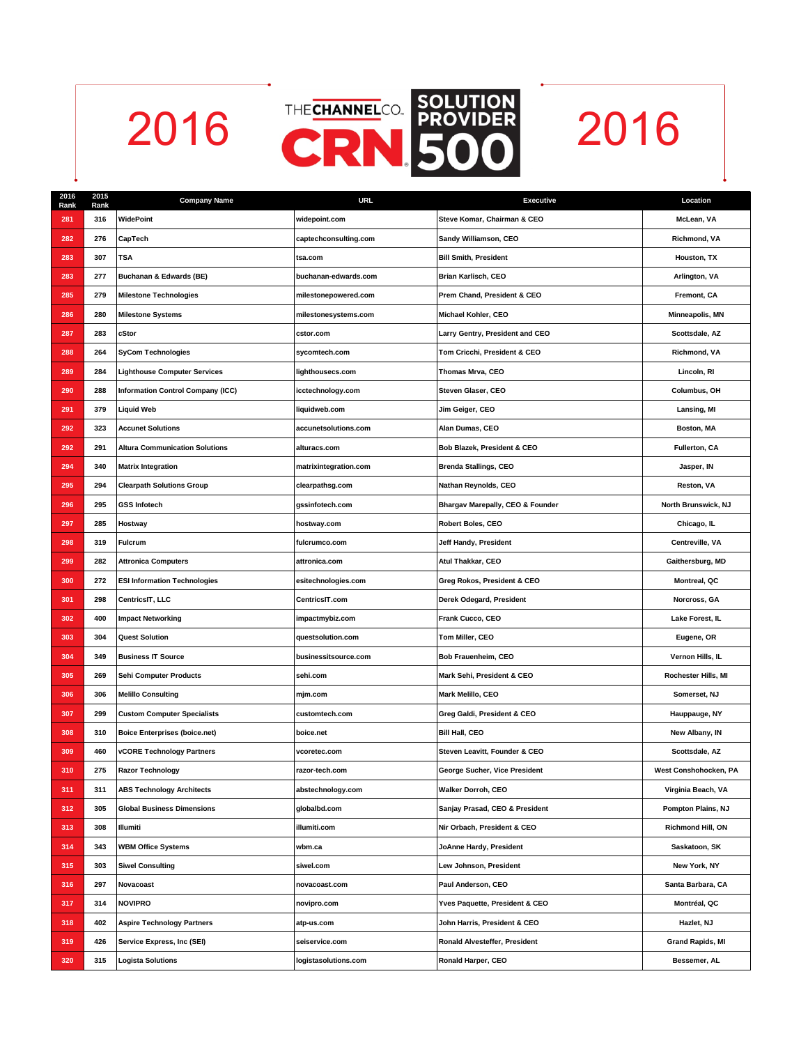



| 2016<br>Rank | 2015<br>Rank | <b>Company Name</b>                      | URL                   | <b>Executive</b>                 | Location                |
|--------------|--------------|------------------------------------------|-----------------------|----------------------------------|-------------------------|
| 281          | 316          | WidePoint                                | widepoint.com         | Steve Komar, Chairman & CEO      | McLean, VA              |
| 282          | 276          | CapTech                                  | captechconsulting.com | Sandy Williamson, CEO            | Richmond, VA            |
| 283          | 307          | <b>TSA</b>                               | tsa.com               | <b>Bill Smith, President</b>     | Houston, TX             |
| 283          | 277          | Buchanan & Edwards (BE)                  | buchanan-edwards.com  | Brian Karlisch, CEO              | Arlington, VA           |
| 285          | 279          | <b>Milestone Technologies</b>            | milestonepowered.com  | Prem Chand, President & CEO      | Fremont, CA             |
| 286          | 280          | <b>Milestone Systems</b>                 | milestonesystems.com  | Michael Kohler, CEO              | Minneapolis, MN         |
| 287          | 283          | cStor                                    | cstor.com             | Larry Gentry, President and CEO  | Scottsdale, AZ          |
| 288          | 264          | <b>SyCom Technologies</b>                | sycomtech.com         | Tom Cricchi, President & CEO     | Richmond, VA            |
| 289          | 284          | <b>Lighthouse Computer Services</b>      | lighthousecs.com      | Thomas Mrva, CEO                 | Lincoln, RI             |
| 290          | 288          | <b>Information Control Company (ICC)</b> | icctechnology.com     | Steven Glaser, CEO               | Columbus, OH            |
| 291          | 379          | <b>Liquid Web</b>                        | liquidweb.com         | Jim Geiger, CEO                  | Lansing, MI             |
| 292          | 323          | <b>Accunet Solutions</b>                 | accunetsolutions.com  | Alan Dumas, CEO                  | Boston, MA              |
| 292          | 291          | <b>Altura Communication Solutions</b>    | alturacs.com          | Bob Blazek, President & CEO      | Fullerton, CA           |
| 294          | 340          | <b>Matrix Integration</b>                | matrixintegration.com | <b>Brenda Stallings, CEO</b>     | Jasper, IN              |
| 295          | 294          | <b>Clearpath Solutions Group</b>         | clearpathsg.com       | Nathan Reynolds, CEO             | Reston, VA              |
| 296          | 295          | <b>GSS Infotech</b>                      | gssinfotech.com       | Bhargav Marepally, CEO & Founder | North Brunswick, NJ     |
| 297          | 285          | Hostway                                  | hostway.com           | Robert Boles, CEO                | Chicago, IL             |
| 298          | 319          | <b>Fulcrum</b>                           | fulcrumco.com         | Jeff Handy, President            | Centreville, VA         |
| 299          | 282          | <b>Attronica Computers</b>               | attronica.com         | Atul Thakkar, CEO                | Gaithersburg, MD        |
| 300          | 272          | <b>ESI Information Technologies</b>      | esitechnologies.com   | Greg Rokos, President & CEO      | Montreal, QC            |
| 301          | 298          | CentricsIT, LLC                          | CentricsIT.com        | Derek Odegard, President         | Norcross, GA            |
| 302          | 400          | <b>Impact Networking</b>                 | impactmybiz.com       | Frank Cucco, CEO                 | Lake Forest, IL         |
| 303          | 304          | <b>Quest Solution</b>                    | questsolution.com     | Tom Miller, CEO                  | Eugene, OR              |
| 304          | 349          | <b>Business IT Source</b>                | businessitsource.com  | Bob Frauenheim, CEO              | Vernon Hills, IL        |
| 305          | 269          | <b>Sehi Computer Products</b>            | sehi.com              | Mark Sehi, President & CEO       | Rochester Hills, MI     |
| 306          | 306          | <b>Melillo Consulting</b>                | mjm.com               | Mark Melillo, CEO                | Somerset, NJ            |
| 307          | 299          | <b>Custom Computer Specialists</b>       | customtech.com        | Greg Galdi, President & CEO      | Hauppauge, NY           |
| 308          | 310          | <b>Boice Enterprises (boice.net)</b>     | boice.net             | <b>Bill Hall, CEO</b>            | New Albany, IN          |
| 309          | 460          | <b>vCORE Technology Partners</b>         | vcoretec.com          | Steven Leavitt, Founder & CEO    | Scottsdale, AZ          |
| 310          | 275          | <b>Razor Technology</b>                  | razor-tech.com        | George Sucher, Vice President    | West Conshohocken, PA   |
| 311          | 311          | <b>ABS Technology Architects</b>         | abstechnology.com     | Walker Dorroh, CEO               | Virginia Beach, VA      |
| 312          | 305          | <b>Global Business Dimensions</b>        | globalbd.com          | Sanjay Prasad, CEO & President   | Pompton Plains, NJ      |
| 313          | 308          | Illumiti                                 | illumiti.com          | Nir Orbach, President & CEO      | Richmond Hill, ON       |
| 314          | 343          | <b>WBM Office Systems</b>                | wbm.ca                | JoAnne Hardy, President          | Saskatoon, SK           |
| 315          | 303          | <b>Siwel Consulting</b>                  | siwel.com             | Lew Johnson, President           | New York, NY            |
| 316          | 297          | Novacoast                                | novacoast.com         | Paul Anderson, CEO               | Santa Barbara, CA       |
| 317          | 314          | <b>NOVIPRO</b>                           | novipro.com           | Yves Paquette, President & CEO   | Montréal, QC            |
| 318          | 402          | <b>Aspire Technology Partners</b>        | atp-us.com            | John Harris, President & CEO     | Hazlet, NJ              |
| 319          | 426          | Service Express, Inc (SEI)               | seiservice.com        | Ronald Alvesteffer, President    | <b>Grand Rapids, MI</b> |
| 320          | 315          | <b>Logista Solutions</b>                 | logistasolutions.com  | Ronald Harper, CEO               | Bessemer, AL            |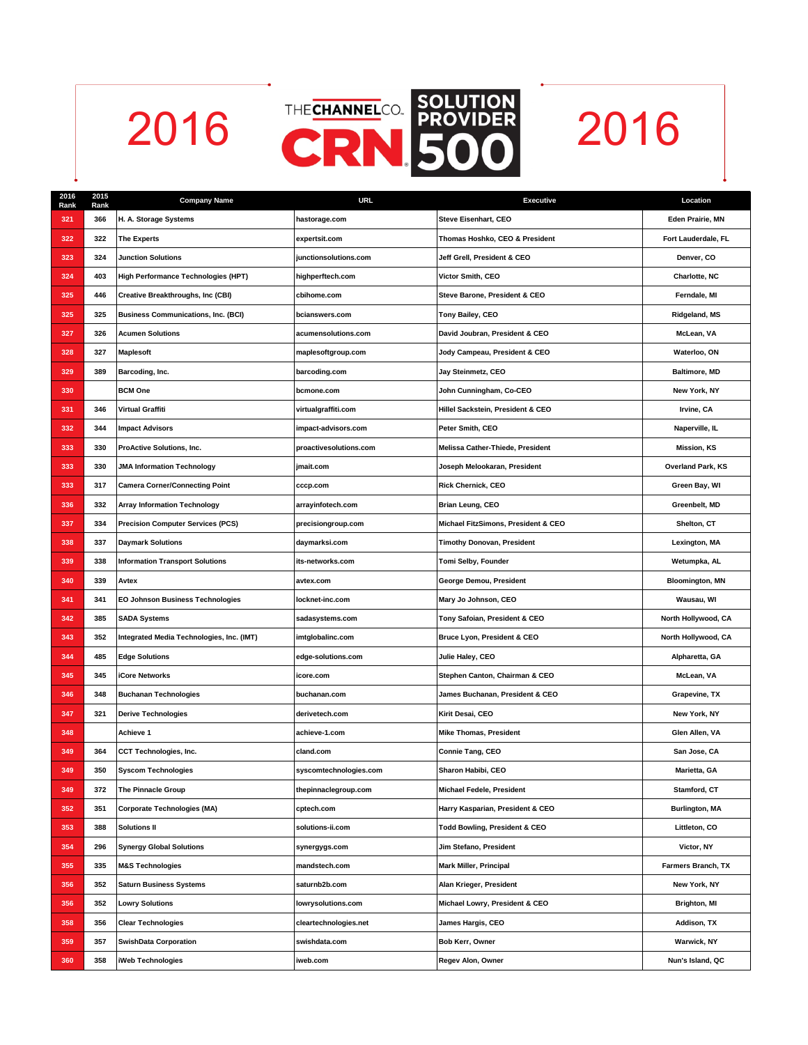



| 2016<br>Rank | 2015<br>Rank | <b>Company Name</b>                        | URL                    | <b>Executive</b>                         | Location                 |
|--------------|--------------|--------------------------------------------|------------------------|------------------------------------------|--------------------------|
| 321          | 366          | H. A. Storage Systems                      | hastorage.com          | Steve Eisenhart, CEO                     | Eden Prairie, MN         |
| 322          | 322          | <b>The Experts</b>                         | expertsit.com          | Thomas Hoshko, CEO & President           | Fort Lauderdale, FL      |
| 323          | 324          | <b>Junction Solutions</b>                  | junctionsolutions.com  | Jeff Grell, President & CEO              | Denver, CO               |
| 324          | 403          | High Performance Technologies (HPT)        | highperftech.com       | Victor Smith, CEO                        | Charlotte, NC            |
| 325          | 446          | Creative Breakthroughs, Inc (CBI)          | cbihome.com            | Steve Barone, President & CEO            | Ferndale, MI             |
| 325          | 325          | <b>Business Communications, Inc. (BCI)</b> | bcianswers.com         | Tony Bailey, CEO                         | Ridgeland, MS            |
| 327          | 326          | <b>Acumen Solutions</b>                    | acumensolutions.com    | David Joubran, President & CEO           | McLean, VA               |
| 328          | 327          | <b>Maplesoft</b>                           | maplesoftgroup.com     | Jody Campeau, President & CEO            | Waterloo, ON             |
| 329          | 389          | Barcoding, Inc.                            | barcoding.com          | Jay Steinmetz, CEO                       | <b>Baltimore, MD</b>     |
| 330          |              | <b>BCM One</b>                             | bcmone.com             | John Cunningham, Co-CEO                  | New York, NY             |
| 331          | 346          | Virtual Graffiti                           | virtualgraffiti.com    | Hillel Sackstein, President & CEO        | Irvine, CA               |
| 332          | 344          | <b>Impact Advisors</b>                     | impact-advisors.com    | Peter Smith, CEO                         | Naperville, IL           |
| 333          | 330          | ProActive Solutions, Inc.                  | proactivesolutions.com | Melissa Cather-Thiede, President         | <b>Mission, KS</b>       |
| 333          | 330          | <b>JMA Information Technology</b>          | jmait.com              | Joseph Melookaran, President             | <b>Overland Park, KS</b> |
| 333          | 317          | <b>Camera Corner/Connecting Point</b>      | cccp.com               | <b>Rick Chernick, CEO</b>                | Green Bay, WI            |
| 336          | 332          | <b>Array Information Technology</b>        | arrayinfotech.com      | Brian Leung, CEO                         | Greenbelt, MD            |
| 337          | 334          | <b>Precision Computer Services (PCS)</b>   | precisiongroup.com     | Michael FitzSimons, President & CEO      | Shelton, CT              |
| 338          | 337          | <b>Daymark Solutions</b>                   | daymarksi.com          | <b>Timothy Donovan, President</b>        | Lexington, MA            |
| 339          | 338          | <b>Information Transport Solutions</b>     | its-networks.com       | Tomi Selby, Founder                      | Wetumpka, AL             |
| 340          | 339          | Avtex                                      | avtex.com              | George Demou, President                  | <b>Bloomington, MN</b>   |
| 341          | 341          | EO Johnson Business Technologies           | locknet-inc.com        | Mary Jo Johnson, CEO                     | Wausau, WI               |
| 342          | 385          | <b>SADA Systems</b>                        | sadasystems.com        | Tony Safoian, President & CEO            | North Hollywood, CA      |
| 343          | 352          | Integrated Media Technologies, Inc. (IMT)  | imtglobalinc.com       | Bruce Lyon, President & CEO              | North Hollywood, CA      |
| 344          | 485          | <b>Edge Solutions</b>                      | edge-solutions.com     | Julie Haley, CEO                         | Alpharetta, GA           |
| 345          | 345          | <b>iCore Networks</b>                      | icore.com              | Stephen Canton, Chairman & CEO           | McLean, VA               |
| 346          | 348          | <b>Buchanan Technologies</b>               | buchanan.com           | James Buchanan, President & CEO          | Grapevine, TX            |
| 347          | 321          | <b>Derive Technologies</b>                 | derivetech.com         | Kirit Desai, CEO                         | New York, NY             |
| 348          |              | Achieve 1                                  | achieve-1.com          | <b>Mike Thomas, President</b>            | Glen Allen, VA           |
| 349          | 364          | CCT Technologies, Inc.                     | cland.com              | Connie Tang, CEO                         | San Jose, CA             |
| 349          | 350          | <b>Syscom Technologies</b>                 | syscomtechnologies.com | Sharon Habibi, CEO                       | Marietta, GA             |
| 349          | 372          | The Pinnacle Group                         | thepinnaclegroup.com   | Michael Fedele, President                | Stamford, CT             |
| 352          | 351          | <b>Corporate Technologies (MA)</b>         | cptech.com             | Harry Kasparian, President & CEO         | <b>Burlington, MA</b>    |
| 353          | 388          | <b>Solutions II</b>                        | solutions-ii.com       | <b>Todd Bowling, President &amp; CEO</b> | Littleton, CO            |
| 354          | 296          | <b>Synergy Global Solutions</b>            | synergygs.com          | Jim Stefano, President                   | Victor, NY               |
| 355          | 335          | <b>M&amp;S Technologies</b>                | mandstech.com          | <b>Mark Miller, Principal</b>            | Farmers Branch, TX       |
| 356          | 352          | <b>Saturn Business Systems</b>             | saturnb2b.com          | Alan Krieger, President                  | New York, NY             |
| 356          | 352          | <b>Lowry Solutions</b>                     | lowrysolutions.com     | Michael Lowry, President & CEO           | Brighton, MI             |
| 358          | 356          | <b>Clear Technologies</b>                  | cleartechnologies.net  | James Hargis, CEO                        | Addison, TX              |
| 359          | 357          | <b>SwishData Corporation</b>               | swishdata.com          | Bob Kerr, Owner                          | Warwick, NY              |
| 360          | 358          | iWeb Technologies                          | iweb.com               | Regev Alon, Owner                        | Nun's Island, QC         |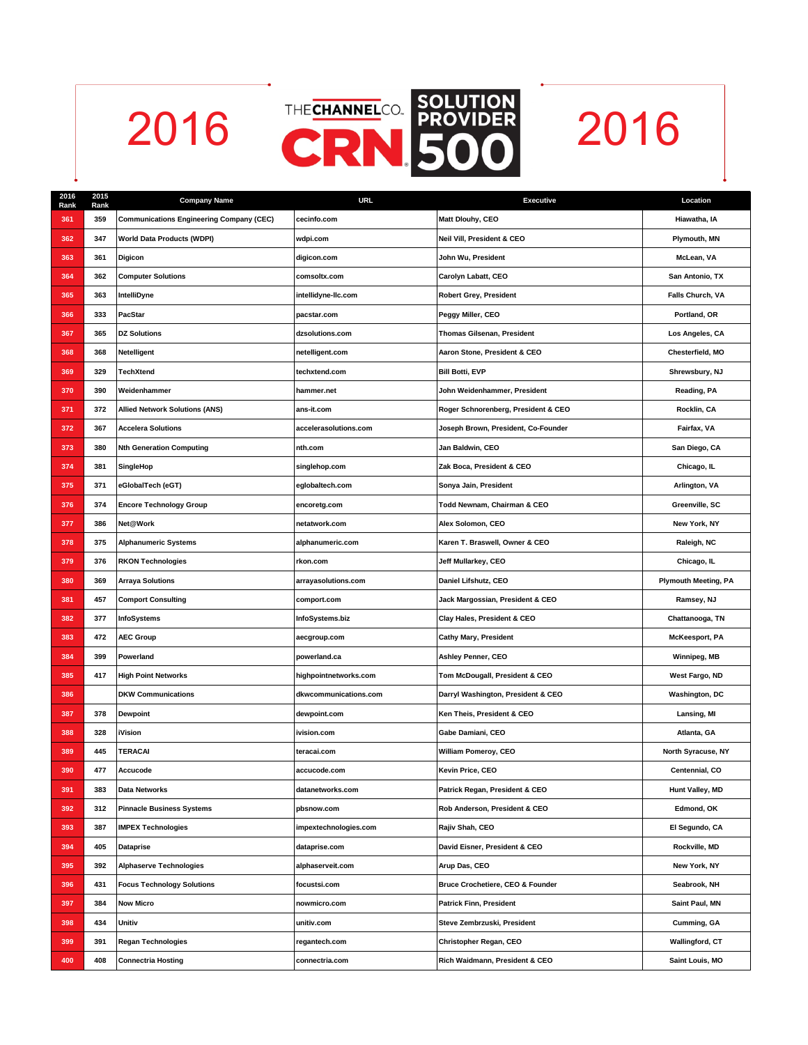

| 2016<br>Rank | 2015<br>Rank | <b>Company Name</b>                             | <b>URL</b>            | <b>Executive</b>                    | Location                    |
|--------------|--------------|-------------------------------------------------|-----------------------|-------------------------------------|-----------------------------|
| 361          | 359          | <b>Communications Engineering Company (CEC)</b> | cecinfo.com           | Matt Dlouhy, CEO                    | Hiawatha, IA                |
| 362          | 347          | <b>World Data Products (WDPI)</b>               | wdpi.com              | Neil Vill, President & CEO          | Plymouth, MN                |
| 363          | 361          | Digicon                                         | digicon.com           | John Wu, President                  | McLean, VA                  |
| 364          | 362          | <b>Computer Solutions</b>                       | comsoltx.com          | Carolyn Labatt, CEO                 | San Antonio, TX             |
| 365          | 363          | IntelliDyne                                     | intellidyne-llc.com   | <b>Robert Grey, President</b>       | Falls Church, VA            |
| 366          | 333          | PacStar                                         | pacstar.com           | Peggy Miller, CEO                   | Portland, OR                |
| 367          | 365          | <b>DZ Solutions</b>                             | dzsolutions.com       | Thomas Gilsenan, President          | Los Angeles, CA             |
| 368          | 368          | <b>Netelligent</b>                              | netelligent.com       | Aaron Stone, President & CEO        | Chesterfield, MO            |
| 369          | 329          | <b>TechXtend</b>                                | techxtend.com         | <b>Bill Botti, EVP</b>              | Shrewsbury, NJ              |
| 370          | 390          | Weidenhammer                                    | hammer.net            | John Weidenhammer, President        | Reading, PA                 |
| 371          | 372          | <b>Allied Network Solutions (ANS)</b>           | ans-it.com            | Roger Schnorenberg, President & CEO | Rocklin, CA                 |
| 372          | 367          | <b>Accelera Solutions</b>                       | accelerasolutions.com | Joseph Brown, President, Co-Founder | Fairfax, VA                 |
| 373          | 380          | <b>Nth Generation Computing</b>                 | nth.com               | Jan Baldwin, CEO                    | San Diego, CA               |
| 374          | 381          | SingleHop                                       | singlehop.com         | Zak Boca, President & CEO           | Chicago, IL                 |
| 375          | 371          | eGlobalTech (eGT)                               | eglobaltech.com       | Sonya Jain, President               | Arlington, VA               |
| 376          | 374          | <b>Encore Technology Group</b>                  | encoretg.com          | Todd Newnam, Chairman & CEO         | Greenville, SC              |
| 377          | 386          | Net@Work                                        | netatwork.com         | Alex Solomon, CEO                   | New York, NY                |
| 378          | 375          | <b>Alphanumeric Systems</b>                     | alphanumeric.com      | Karen T. Braswell, Owner & CEO      | Raleigh, NC                 |
| 379          | 376          | <b>RKON Technologies</b>                        | rkon.com              | Jeff Mullarkey, CEO                 | Chicago, IL                 |
| 380          | 369          | <b>Arraya Solutions</b>                         | arrayasolutions.com   | Daniel Lifshutz, CEO                | <b>Plymouth Meeting, PA</b> |
| 381          | 457          | <b>Comport Consulting</b>                       | comport.com           | Jack Margossian, President & CEO    | Ramsey, NJ                  |
| 382          | 377          | <b>InfoSystems</b>                              | InfoSystems.biz       | Clay Hales, President & CEO         | Chattanooga, TN             |
| 383          | 472          | <b>AEC Group</b>                                | aecgroup.com          | <b>Cathy Mary, President</b>        | <b>McKeesport, PA</b>       |
| 384          | 399          | Powerland                                       | powerland.ca          | Ashley Penner, CEO                  | Winnipeg, MB                |
| 385          | 417          | <b>High Point Networks</b>                      | highpointnetworks.com | Tom McDougall, President & CEO      | West Fargo, ND              |
| 386          |              | <b>DKW Communications</b>                       | dkwcommunications.com | Darryl Washington, President & CEO  | Washington, DC              |
| 387          | 378          | <b>Dewpoint</b>                                 | dewpoint.com          | Ken Theis, President & CEO          | Lansing, MI                 |
| 388          | 328          | <b>iVision</b>                                  | ivision.com           | Gabe Damiani, CEO                   | Atlanta, GA                 |
| 389          | 445          | <b>TERACAI</b>                                  | teracai.com           | William Pomeroy, CEO                | North Syracuse, NY          |
| 390          | 477          | Accucode                                        | accucode.com          | Kevin Price, CEO                    | Centennial, CO              |
| 391          | 383          | Data Networks                                   | datanetworks.com      | Patrick Regan, President & CEO      | Hunt Valley, MD             |
| 392          | 312          | <b>Pinnacle Business Systems</b>                | pbsnow.com            | Rob Anderson, President & CEO       | Edmond. OK                  |
| 393          | 387          | <b>IMPEX Technologies</b>                       | impextechnologies.com | Rajiv Shah, CEO                     | El Segundo, CA              |
| 394          | 405          | <b>Dataprise</b>                                | dataprise.com         | David Eisner, President & CEO       | Rockville, MD               |
| 395          | 392          | <b>Alphaserve Technologies</b>                  | alphaserveit.com      | Arup Das, CEO                       | New York, NY                |
| 396          | 431          | <b>Focus Technology Solutions</b>               | focustsi.com          | Bruce Crochetiere, CEO & Founder    | Seabrook, NH                |
| 397          | 384          | <b>Now Micro</b>                                | nowmicro.com          | <b>Patrick Finn, President</b>      | Saint Paul, MN              |
| 398          | 434          | Unitiv                                          | unitiv.com            | Steve Zembrzuski, President         | Cumming, GA                 |
| 399          | 391          | <b>Regan Technologies</b>                       | regantech.com         | Christopher Regan, CEO              | <b>Wallingford, CT</b>      |
| 400          | 408          | <b>Connectria Hosting</b>                       | connectria.com        | Rich Waidmann, President & CEO      | Saint Louis, MO             |
|              |              |                                                 |                       |                                     |                             |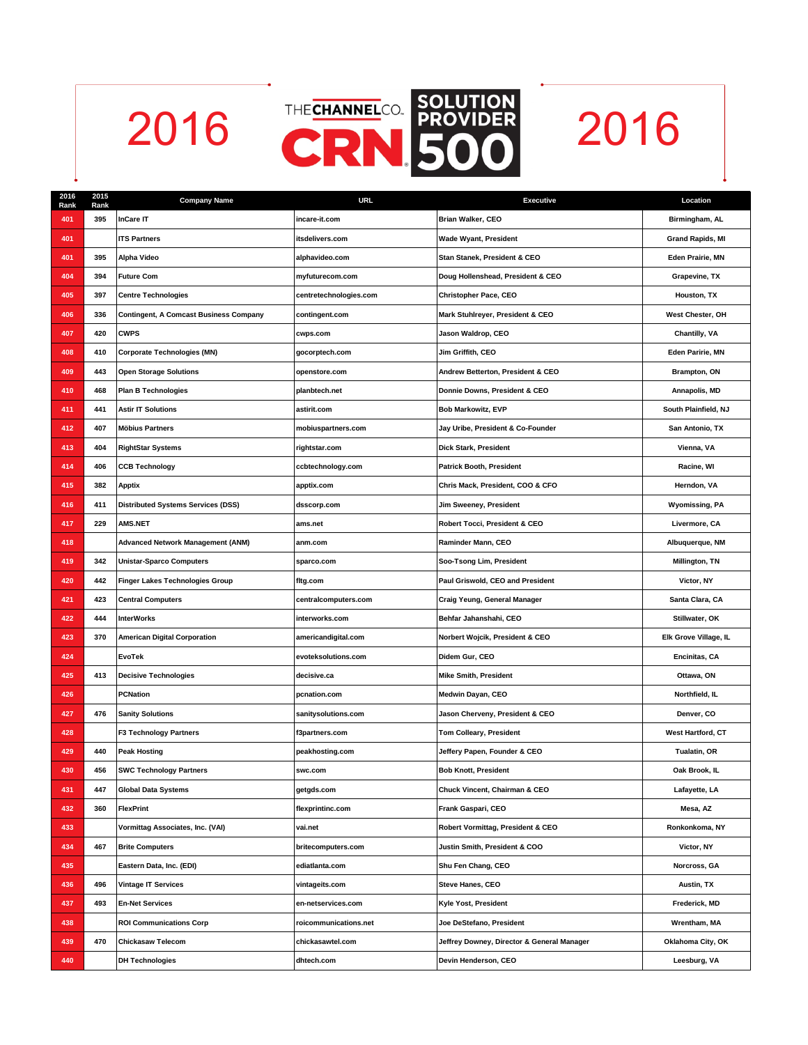

| 2016<br>Rank | 2015<br>Rank | <b>Company Name</b>                           | <b>URL</b>             | <b>Executive</b>                           | Location                |
|--------------|--------------|-----------------------------------------------|------------------------|--------------------------------------------|-------------------------|
| 401          | 395          | <b>InCare IT</b>                              | incare-it.com          | Brian Walker, CEO                          | Birmingham, AL          |
| 401          |              | <b>ITS Partners</b>                           | itsdelivers.com        | <b>Wade Wyant, President</b>               | <b>Grand Rapids, MI</b> |
| 401          | 395          | Alpha Video                                   | alphavideo.com         | Stan Stanek, President & CEO               | Eden Prairie, MN        |
| 404          | 394          | <b>Future Com</b>                             | myfuturecom.com        | Doug Hollenshead, President & CEO          | Grapevine, TX           |
| 405          | 397          | <b>Centre Technologies</b>                    | centretechnologies.com | Christopher Pace, CEO                      | Houston, TX             |
| 406          | 336          | <b>Contingent, A Comcast Business Company</b> | contingent.com         | Mark Stuhlreyer, President & CEO           | West Chester, OH        |
| 407          | 420          | <b>CWPS</b>                                   | cwps.com               | Jason Waldrop, CEO                         | Chantilly, VA           |
| 408          | 410          | <b>Corporate Technologies (MN)</b>            | gocorptech.com         | Jim Griffith, CEO                          | Eden Paririe, MN        |
| 409          | 443          | <b>Open Storage Solutions</b>                 | openstore.com          | Andrew Betterton, President & CEO          | Brampton, ON            |
| 410          | 468          | <b>Plan B Technologies</b>                    | planbtech.net          | Donnie Downs, President & CEO              | Annapolis, MD           |
| 411          | 441          | <b>Astir IT Solutions</b>                     | astirit.com            | <b>Bob Markowitz, EVP</b>                  | South Plainfield, NJ    |
| 412          | 407          | <b>Möbius Partners</b>                        | mobiuspartners.com     | Jay Uribe, President & Co-Founder          | San Antonio, TX         |
| 413          | 404          | <b>RightStar Systems</b>                      | rightstar.com          | Dick Stark, President                      | Vienna, VA              |
| 414          | 406          | <b>CCB Technology</b>                         | ccbtechnology.com      | <b>Patrick Booth, President</b>            | Racine, WI              |
| 415          | 382          | <b>Apptix</b>                                 | apptix.com             | Chris Mack, President, COO & CFO           | Herndon, VA             |
| 416          | 411          | <b>Distributed Systems Services (DSS)</b>     | dsscorp.com            | Jim Sweeney, President                     | <b>Wyomissing, PA</b>   |
| 417          | 229          | <b>AMS.NET</b>                                | ams.net                | Robert Tocci, President & CEO              | Livermore, CA           |
| 418          |              | <b>Advanced Network Management (ANM)</b>      | anm.com                | Raminder Mann, CEO                         | Albuquerque, NM         |
| 419          | 342          | <b>Unistar-Sparco Computers</b>               | sparco.com             | Soo-Tsong Lim, President                   | Millington, TN          |
| 420          | 442          | Finger Lakes Technologies Group               | fltg.com               | Paul Griswold, CEO and President           | Victor, NY              |
| 421          | 423          | <b>Central Computers</b>                      | centralcomputers.com   | Craig Yeung, General Manager               | Santa Clara, CA         |
| 422          | 444          | <b>InterWorks</b>                             | interworks.com         | Behfar Jahanshahi, CEO                     | Stillwater, OK          |
| 423          | 370          | <b>American Digital Corporation</b>           | americandigital.com    | Norbert Wojcik, President & CEO            | Elk Grove Village, IL   |
| 424          |              | <b>EvoTek</b>                                 | evoteksolutions.com    | Didem Gur, CEO                             | Encinitas, CA           |
| 425          | 413          | <b>Decisive Technologies</b>                  | decisive.ca            | <b>Mike Smith, President</b>               | Ottawa, ON              |
| 426          |              | <b>PCNation</b>                               | pcnation.com           | Medwin Dayan, CEO                          | Northfield, IL          |
| 427          | 476          | <b>Sanity Solutions</b>                       | sanitysolutions.com    | Jason Cherveny, President & CEO            | Denver, CO              |
| 428          |              | <b>F3 Technology Partners</b>                 | f3partners.com         | Tom Colleary, President                    | West Hartford, CT       |
| 429          | 440          | <b>Peak Hosting</b>                           | peakhosting.com        | Jeffery Papen, Founder & CEO               | Tualatin, OR            |
| 430          | 456          | <b>SWC Technology Partners</b>                | swc.com                | <b>Bob Knott, President</b>                | Oak Brook, IL           |
| 431          | 447          | <b>Global Data Systems</b>                    | getgds.com             | Chuck Vincent, Chairman & CEO              | Lafayette, LA           |
| 432          | 360          | FlexPrint                                     | flexprintinc.com       | Frank Gaspari, CEO                         | Mesa, AZ                |
| 433          |              | Vormittag Associates, Inc. (VAI)              | vai.net                | Robert Vormittag, President & CEO          | Ronkonkoma, NY          |
| 434          | 467          | <b>Brite Computers</b>                        | britecomputers.com     | Justin Smith, President & COO              | Victor, NY              |
| 435          |              | Eastern Data, Inc. (EDI)                      | ediatlanta.com         | Shu Fen Chang, CEO                         | Norcross, GA            |
| 436          | 496          | <b>Vintage IT Services</b>                    | vintageits.com         | Steve Hanes, CEO                           | Austin, TX              |
| 437          | 493          | <b>En-Net Services</b>                        | en-netservices.com     | Kyle Yost, President                       | Frederick, MD           |
| 438          |              | <b>ROI Communications Corp</b>                | roicommunications.net  | Joe DeStefano, President                   | Wrentham, MA            |
| 439          | 470          | <b>Chickasaw Telecom</b>                      | chickasawtel.com       | Jeffrey Downey, Director & General Manager | Oklahoma City, OK       |
| 440          |              | <b>DH Technologies</b>                        | dhtech.com             | Devin Henderson, CEO                       | Leesburg, VA            |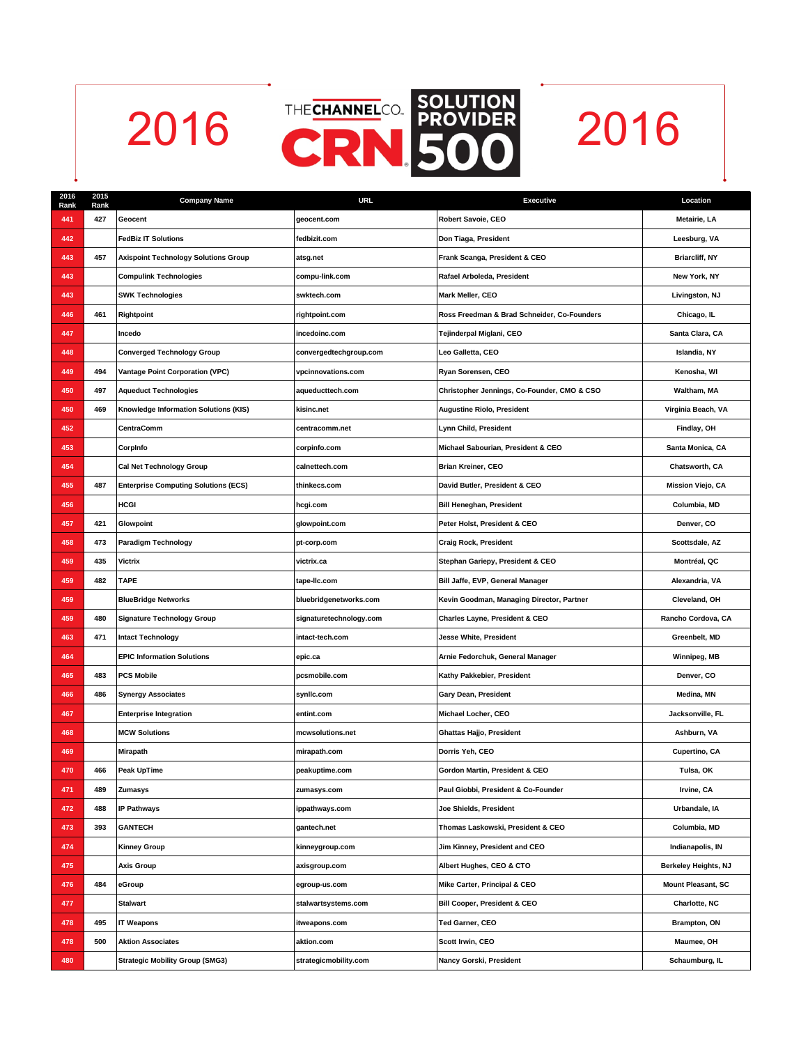

| 2016<br>Rank | 2015<br>Rank | <b>Company Name</b>                         | <b>URL</b>              | <b>Executive</b>                            | Location                  |
|--------------|--------------|---------------------------------------------|-------------------------|---------------------------------------------|---------------------------|
| 441          | 427          | Geocent                                     | geocent.com             | Robert Savoie, CEO                          | Metairie, LA              |
| 442          |              | <b>FedBiz IT Solutions</b>                  | fedbizit.com            | Don Tiaga, President                        | Leesburg, VA              |
| 443          | 457          | <b>Axispoint Technology Solutions Group</b> | atsg.net                | Frank Scanga, President & CEO               | <b>Briarcliff, NY</b>     |
| 443          |              | <b>Compulink Technologies</b>               | compu-link.com          | Rafael Arboleda, President                  | New York, NY              |
| 443          |              | <b>SWK Technologies</b>                     | swktech.com             | Mark Meller, CEO                            | Livingston, NJ            |
| 446          | 461          | Rightpoint                                  | rightpoint.com          | Ross Freedman & Brad Schneider, Co-Founders | Chicago, IL               |
| 447          |              | Incedo                                      | incedoinc.com           | Tejinderpal Miglani, CEO                    | Santa Clara, CA           |
| 448          |              | <b>Converged Technology Group</b>           | convergedtechgroup.com  | Leo Galletta, CEO                           | Islandia, NY              |
| 449          | 494          | <b>Vantage Point Corporation (VPC)</b>      | vpcinnovations.com      | Ryan Sorensen, CEO                          | Kenosha, WI               |
| 450          | 497          | <b>Aqueduct Technologies</b>                | aqueducttech.com        | Christopher Jennings, Co-Founder, CMO & CSO | Waltham, MA               |
| 450          | 469          | Knowledge Information Solutions (KIS)       | kisinc.net              | <b>Augustine Riolo, President</b>           | Virginia Beach, VA        |
| 452          |              | CentraComm                                  | centracomm.net          | Lynn Child, President                       | Findlay, OH               |
| 453          |              | Corpinfo                                    | corpinfo.com            | Michael Sabourian, President & CEO          | Santa Monica, CA          |
| 454          |              | Cal Net Technology Group                    | calnettech.com          | <b>Brian Kreiner, CEO</b>                   | Chatsworth, CA            |
| 455          | 487          | <b>Enterprise Computing Solutions (ECS)</b> | thinkecs.com            | David Butler, President & CEO               | <b>Mission Viejo, CA</b>  |
| 456          |              | HCGI                                        | hcgi.com                | <b>Bill Heneghan, President</b>             | Columbia, MD              |
| 457          | 421          | Glowpoint                                   | glowpoint.com           | Peter Holst, President & CEO                | Denver, CO                |
| 458          | 473          | <b>Paradigm Technology</b>                  | pt-corp.com             | <b>Craig Rock, President</b>                | Scottsdale, AZ            |
| 459          | 435          | Victrix                                     | victrix.ca              | Stephan Gariepy, President & CEO            | Montréal, QC              |
| 459          | 482          | <b>TAPE</b>                                 | tape-lic.com            | Bill Jaffe, EVP, General Manager            | Alexandria, VA            |
| 459          |              | <b>BlueBridge Networks</b>                  | bluebridgenetworks.com  | Kevin Goodman, Managing Director, Partner   | Cleveland, OH             |
| 459          | 480          | <b>Signature Technology Group</b>           | signaturetechnology.com | Charles Layne, President & CEO              | Rancho Cordova, CA        |
| 463          | 471          | <b>Intact Technology</b>                    | intact-tech.com         | <b>Jesse White, President</b>               | Greenbelt, MD             |
| 464          |              | <b>EPIC Information Solutions</b>           | epic.ca                 | Arnie Fedorchuk, General Manager            | Winnipeg, MB              |
| 465          | 483          | <b>PCS Mobile</b>                           | pcsmobile.com           | Kathy Pakkebier, President                  | Denver, CO                |
| 466          | 486          | <b>Synergy Associates</b>                   | synlic.com              | Gary Dean, President                        | Medina, MN                |
| 467          |              | <b>Enterprise Integration</b>               | entint.com              | Michael Locher, CEO                         | Jacksonville, FL          |
| 468          |              | <b>MCW Solutions</b>                        | mcwsolutions.net        | <b>Ghattas Hajjo, President</b>             | Ashburn, VA               |
| 469          |              | Mirapath                                    | mirapath.com            | Dorris Yeh, CEO                             | Cupertino, CA             |
| 470          | 466          | Peak UpTime                                 | peakuptime.com          | Gordon Martin, President & CEO              | Tulsa, OK                 |
| 471          | 489          | Zumasys                                     | zumasys.com             | Paul Giobbi, President & Co-Founder         | Irvine, CA                |
| 472          | 488          | <b>IP Pathways</b>                          | ippathways.com          | Joe Shields, President                      | Urbandale, IA             |
| 473          | 393          | <b>GANTECH</b>                              | gantech.net             | Thomas Laskowski, President & CEO           | Columbia, MD              |
| 474          |              | <b>Kinney Group</b>                         | kinneygroup.com         | Jim Kinney, President and CEO               | Indianapolis, IN          |
| 475          |              | Axis Group                                  | axisgroup.com           | Albert Hughes, CEO & CTO                    | Berkeley Heights, NJ      |
| 476          | 484          | eGroup                                      | egroup-us.com           | Mike Carter, Principal & CEO                | <b>Mount Pleasant, SC</b> |
| 477          |              | <b>Stalwart</b>                             | stalwartsystems.com     | Bill Cooper, President & CEO                | Charlotte, NC             |
| 478          | 495          | <b>IT Weapons</b>                           | itweapons.com           | Ted Garner, CEO                             | Brampton, ON              |
| 478          | 500          | <b>Aktion Associates</b>                    | aktion.com              | Scott Irwin, CEO                            | Maumee, OH                |
| 480          |              | <b>Strategic Mobility Group (SMG3)</b>      | strategicmobility.com   | Nancy Gorski, President                     | Schaumburg, IL            |